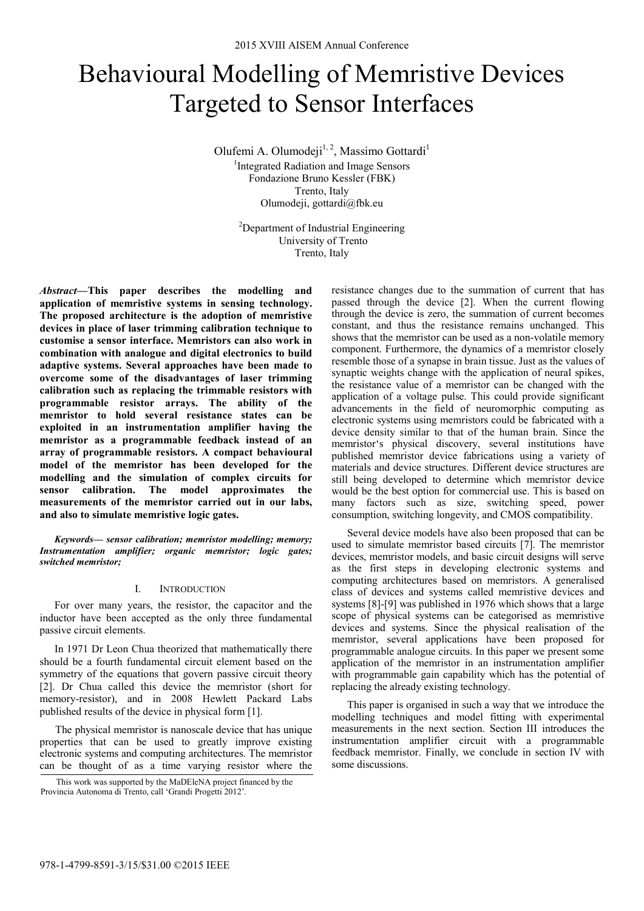# Behavioural Modelling of Memristive Devices Targeted to Sensor Interfaces

Olufemi A. Olumodeji<sup>1, 2</sup>, Massimo Gottardi<sup>1</sup> <sup>1</sup>Integrated Radiation and Image Sensors Fondazione Bruno Kessler (FBK) Trento, Italy Olumodeji, gottardi@fbk.eu

> <sup>2</sup>Department of Industrial Engineering University of Trento Trento, Italy

*Abstract***—This paper describes the modelling and application of memristive systems in sensing technology. The proposed architecture is the adoption of memristive devices in place of laser trimming calibration technique to customise a sensor interface. Memristors can also work in combination with analogue and digital electronics to build adaptive systems. Several approaches have been made to overcome some of the disadvantages of laser trimming calibration such as replacing the trimmable resistors with programmable resistor arrays. The ability of the memristor to hold several resistance states can be exploited in an instrumentation amplifier having the memristor as a programmable feedback instead of an array of programmable resistors. A compact behavioural model of the memristor has been developed for the modelling and the simulation of complex circuits for sensor calibration. The model approximates the measurements of the memristor carried out in our labs, and also to simulate memristive logic gates.** 

*Keywords— sensor calibration; memristor modelling; memory; Instrumentation amplifier; organic memristor; logic gates; switched memristor;* 

## I. INTRODUCTION

For over many years, the resistor, the capacitor and the inductor have been accepted as the only three fundamental passive circuit elements.

In 1971 Dr Leon Chua theorized that mathematically there should be a fourth fundamental circuit element based on the symmetry of the equations that govern passive circuit theory [2]. Dr Chua called this device the memristor (short for memory-resistor), and in 2008 Hewlett Packard Labs published results of the device in physical form [1].

The physical memristor is nanoscale device that has unique properties that can be used to greatly improve existing electronic systems and computing architectures. The memristor can be thought of as a time varying resistor where the

resistance changes due to the summation of current that has passed through the device [2]. When the current flowing through the device is zero, the summation of current becomes constant, and thus the resistance remains unchanged. This shows that the memristor can be used as a non-volatile memory component. Furthermore, the dynamics of a memristor closely resemble those of a synapse in brain tissue. Just as the values of synaptic weights change with the application of neural spikes, the resistance value of a memristor can be changed with the application of a voltage pulse. This could provide significant advancements in the field of neuromorphic computing as electronic systems using memristors could be fabricated with a device density similar to that of the human brain. Since the memristor's physical discovery, several institutions have published memristor device fabrications using a variety of materials and device structures. Different device structures are still being developed to determine which memristor device would be the best option for commercial use. This is based on many factors such as size, switching speed, power consumption, switching longevity, and CMOS compatibility.

Several device models have also been proposed that can be used to simulate memristor based circuits [7]. The memristor devices, memristor models, and basic circuit designs will serve as the first steps in developing electronic systems and computing architectures based on memristors. A generalised class of devices and systems called memristive devices and systems [8]-[9] was published in 1976 which shows that a large scope of physical systems can be categorised as memristive devices and systems. Since the physical realisation of the memristor, several applications have been proposed for programmable analogue circuits. In this paper we present some application of the memristor in an instrumentation amplifier with programmable gain capability which has the potential of replacing the already existing technology.

This paper is organised in such a way that we introduce the modelling techniques and model fitting with experimental measurements in the next section. Section III introduces the instrumentation amplifier circuit with a programmable feedback memristor. Finally, we conclude in section IV with some discussions.

This work was supported by the MaDEleNA project financed by the Provincia Autonoma di Trento, call 'Grandi Progetti 2012'*.*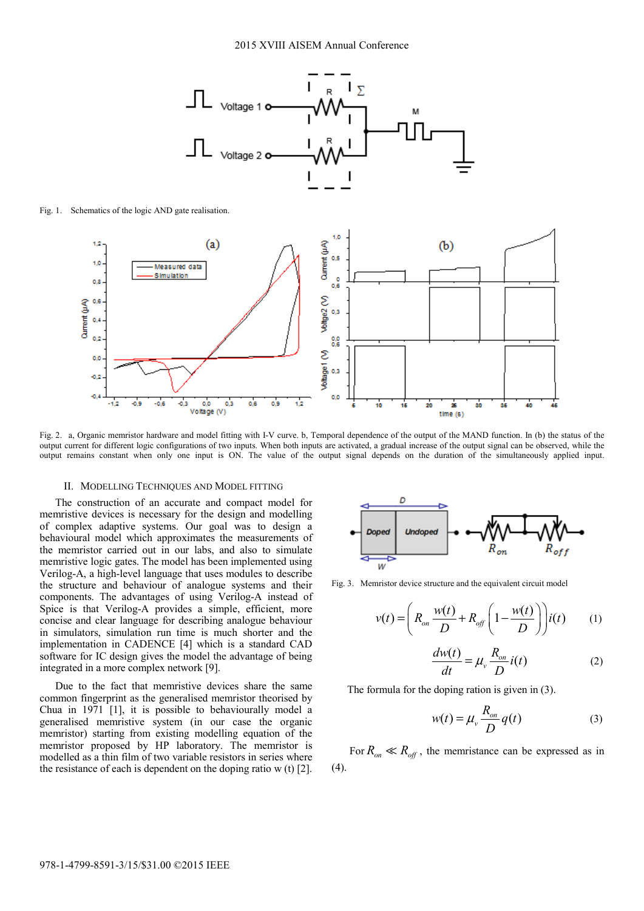

Fig. 1. Schematics of the logic AND gate realisation.



Fig. 2. a, Organic memristor hardware and model fitting with I-V curve. b, Temporal dependence of the output of the MAND function. In (b) the status of the output current for different logic configurations of two inputs. When both inputs are activated, a gradual increase of the output signal can be observed, while the output remains constant when only one input is ON. The value of the output signal depends on the duration of the simultaneously applied input.

### II. MODELLING TECHNIQUES AND MODEL FITTING

The construction of an accurate and compact model for memristive devices is necessary for the design and modelling of complex adaptive systems. Our goal was to design a behavioural model which approximates the measurements of the memristor carried out in our labs, and also to simulate memristive logic gates. The model has been implemented using Verilog-A, a high-level language that uses modules to describe the structure and behaviour of analogue systems and their components. The advantages of using Verilog-A instead of Spice is that Verilog-A provides a simple, efficient, more concise and clear language for describing analogue behaviour in simulators, simulation run time is much shorter and the implementation in CADENCE [4] which is a standard CAD software for IC design gives the model the advantage of being integrated in a more complex network [9].

Due to the fact that memristive devices share the same common fingerprint as the generalised memristor theorised by Chua in 1971 [1], it is possible to behaviourally model a generalised memristive system (in our case the organic memristor) starting from existing modelling equation of the memristor proposed by HP laboratory. The memristor is modelled as a thin film of two variable resistors in series where the resistance of each is dependent on the doping ratio w (t) [2].



Fig. 3. Memristor device structure and the equivalent circuit model

$$
v(t) = \left(R_{on} \frac{w(t)}{D} + R_{off} \left(1 - \frac{w(t)}{D}\right)\right) i(t) \tag{1}
$$

$$
\frac{dw(t)}{dt} = \mu_v \frac{R_{on}}{D} i(t)
$$
 (2)

The formula for the doping ration is given in (3).

$$
w(t) = \mu_v \frac{R_{on}}{D} q(t)
$$
 (3)

For  $R_{\text{on}} \ll R_{\text{off}}$ , the memristance can be expressed as in (4).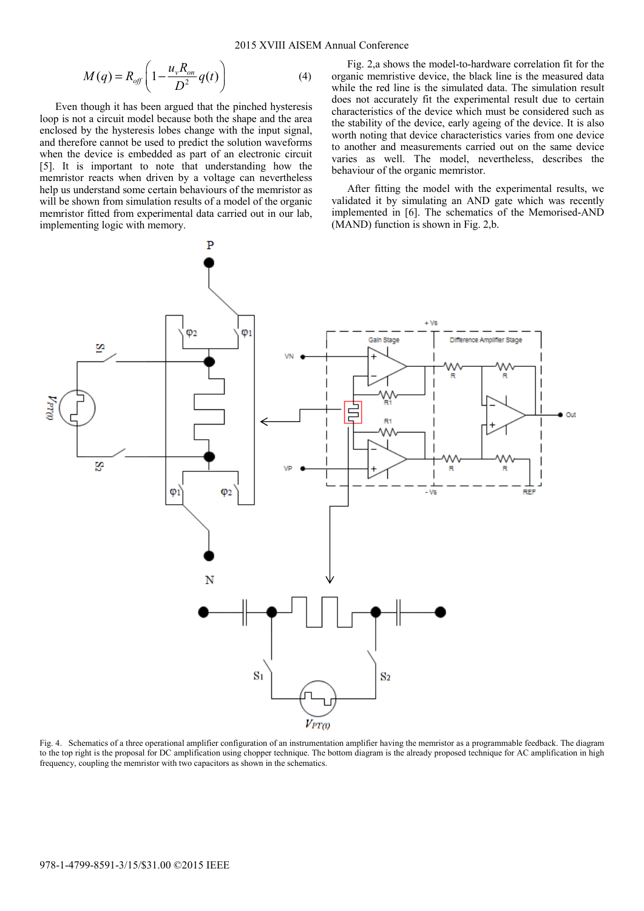$$
M(q) = R_{off} \left( 1 - \frac{u_v R_{on}}{D^2} q(t) \right)
$$
 (4)

Even though it has been argued that the pinched hysteresis loop is not a circuit model because both the shape and the area enclosed by the hysteresis lobes change with the input signal, and therefore cannot be used to predict the solution waveforms when the device is embedded as part of an electronic circuit [5]. It is important to note that understanding how the memristor reacts when driven by a voltage can nevertheless help us understand some certain behaviours of the memristor as will be shown from simulation results of a model of the organic memristor fitted from experimental data carried out in our lab, implementing logic with memory.

Fig. 2,a shows the model-to-hardware correlation fit for the organic memristive device, the black line is the measured data while the red line is the simulated data. The simulation result does not accurately fit the experimental result due to certain characteristics of the device which must be considered such as the stability of the device, early ageing of the device. It is also worth noting that device characteristics varies from one device to another and measurements carried out on the same device varies as well. The model, nevertheless, describes the behaviour of the organic memristor.

After fitting the model with the experimental results, we validated it by simulating an AND gate which was recently implemented in [6]. The schematics of the Memorised-AND (MAND) function is shown in Fig. 2,b.



Fig. 4. Schematics of a three operational amplifier configuration of an instrumentation amplifier having the memristor as a programmable feedback. The diagram to the top right is the proposal for DC amplification using chopper technique. The bottom diagram is the already proposed technique for AC amplification in high frequency, coupling the memristor with two capacitors as shown in the schematics.